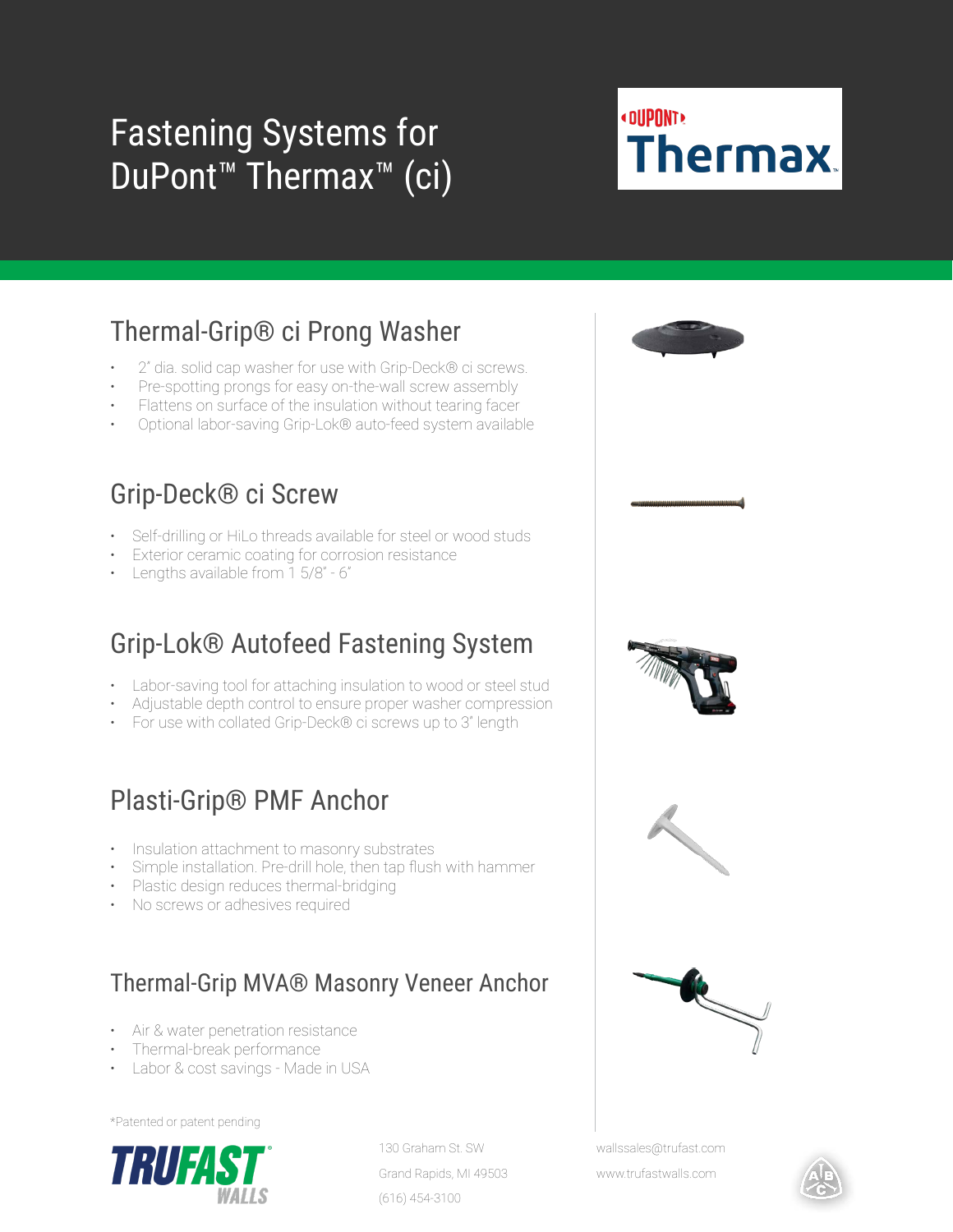# Fastening Systems for DuPont™ Thermax™ (ci)

# **«DUPONT» Thermax**

### Thermal-Grip® ci Prong Washer

- 2" dia. solid cap washer for use with Grip-Deck® ci screws.
- Pre-spotting prongs for easy on-the-wall screw assembly
- Flattens on surface of the insulation without tearing facer
- Optional labor-saving Grip-Lok® auto-feed system available

#### Grip-Deck® ci Screw

- Self-drilling or HiLo threads available for steel or wood studs
- Exterior ceramic coating for corrosion resistance
- Lengths available from 1 5/8" 6"

#### Grip-Lok® Autofeed Fastening System

- Labor-saving tool for attaching insulation to wood or steel stud
- Adjustable depth control to ensure proper washer compression
- For use with collated Grip-Deck® ci screws up to 3" length

#### Plasti-Grip® PMF Anchor

- Insulation attachment to masonry substrates
- Simple installation. Pre-drill hole, then tap flush with hammer
- Plastic design reduces thermal-bridging
- No screws or adhesives required

#### Thermal-Grip MVA® Masonry Veneer Anchor

- Air & water penetration resistance
- Thermal-break performance
- Labor & cost savings Made in USA

\*Patented or patent pending



130 Graham St. SW Grand Rapids, MI 49503 (616) 454-3100





wallssales@trufast.com

www.trufastwalls.com